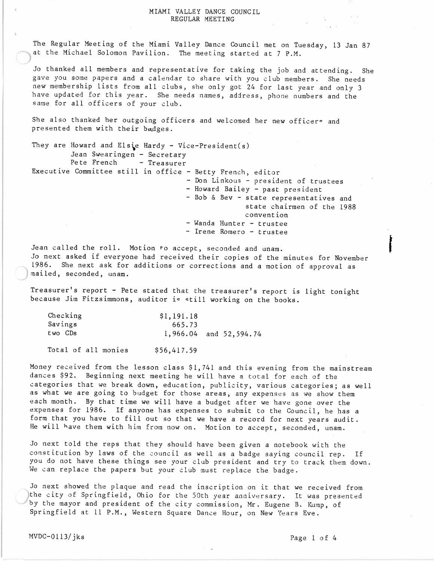## MIAMI VALLEY DANCE COUNCIL REGULAR MEETING

The Regular Meeting of the Miami Valley Dance Council met on Tuesday, 13 Jan 87 at the Michael Solomon Pavilion. The meeting started at 7 P.M.

Jo thanked all members and representative for taking the job and attending. She gave you some papers and a calendar to share with you club members. She needs new membership lists from *all* clubs, she only got 24 for last year and only 3 have updated for this year. She needs names, address, phone numbers and the same for all officers of your club.

She also thanked her outgoing officers and welcomed her new officere and presented them with their badges.

They are Howard and Elsie Hardy - Vice-President(s) Jean Swearingen - Secretary<br>Pete French - Treasurer - Treasurer Executive Committee still in office - Betty French, editor - Don Linkous - president of trustees - Howard Bailey - past president - Bob & Bev - state representatives and state chairmen of the 1988 convention - Wanda Hunter - trustee - Irene Romero - trustee

Jean called the roll. Motion to accept, seconded and unam. Jo next asked if everyone had received their copies of the minutes for November 1986. She next ask for additions or corrections and a motion of approval as mailed, seconded, unam.

Treasurer's report - Pete stated that the treasurer's report is light tonight because Jim Fitzsimmons, auditor is still working on the books.

| Checking | \$1,191.18 |                            |
|----------|------------|----------------------------|
| Savings  | 665.73     |                            |
| two CDs  |            | $1,966.04$ and $52,594.74$ |

Total of *all* monies \$56,417.59

Money received from the lesson class \$1,741 and this evening from the mainstream dances \$92. Beginning next meeting he will have a total for each of the categories that we break down, education, publicity, various categories; as well as what we are going to budget for those areas, any expenses as we show them each month. By that time we will have a budget after we have gone over the expenses for 1986. If anyone has expenses to submit to the Council, he has a form that you have to fill out so that we have a record for next years audit. He will have them with him from now on. Motion to accept, seconded, unam.

Jo next told the reps that they should have been given a notebook with the constitution by laws of the council as well as a badge saying council rep. If you do not have these things see your club president and try to track them down. We can replace the papers but your club must replace the badge.

Jo next showed the plaque and read the inscription on it that we received from /lthe city of Springfield, Ohio for the 50th year anniversary. It was presented by the mayor and president of the city commission, Mr. Eugene B. Kump, of Springfield at 11 P.M., Western Square Dance Hour, on New Years Eve.

e<br>Filipina<br>Filipina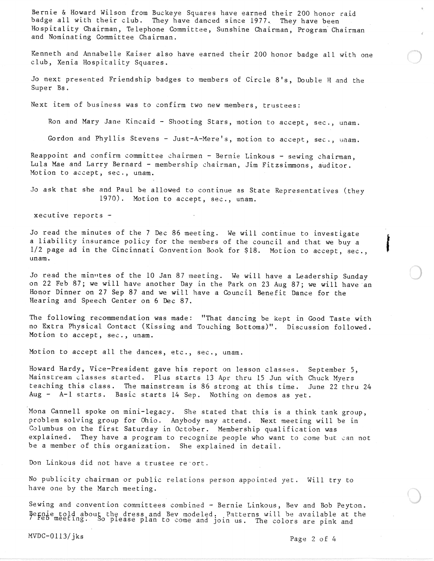Bernie & Howard Wilson from Buckeye Squares have earned their 200 honor raid badge all with their club. They have danced since 1977. They have been Hospitality Chairman, Telephone Committee, Sunshine Chairman, Program" Chairman and Nominating Committee Chairman.

Kenneth and Annabelle Kaiser also have earned their 200 honor badge all with one club, Xenia Hospitality Squares.

Jo next presented Friendship badges to members of Circle *8's,* Double H and the Super Bs.

Next item of business was to confirm two new members, trustees:

Ron and Mary Jane Kincaid - Shooting Stars, motion to accept, sec., unam.

Gordon and Phyllis Stevens - Just-A-Mere's, motion to accept, sec., unam.

Reappoint and confirm committee chairmen - Bernie Linkous - sewing chairman, Lula Mae and Larry Bernard - membership chairman, Jim Fitzsimmons, auditor. Motion to accept, sec., unam.

Jo ask that she and Paul be allowed to continue as State Representatives (they 1970). Motion to accept, sec., unam.

xecutive reports -

Jo read the minutes of the 7 Dec 86 meeting. We will continue to investigate a liability insurance policy for the members of the council and that we buy a f 1/2 page ad in the Cincinnati Convention Book for \$18. Motion to accept, sec., • unam.

Jo read the minutes of the 10 Jan 87 meeting. We will have a Leadership Sunday on 22 Feb 87; we will have another Day in the Park on 23 Aug 87; we will have an Honor Dinner on 27 Sep 87 and we will have a Council Benefit Dance for the Hearing and Speech Center on 6 Dec 87.

The following recommendat ion was made: "That dancing be kept in Good Taste with no Extra Physical Contact (Kissing and Touching Bottoms)". Discussion followed. Motion to accept, sec., unam.

Motion to accept all the dances, etc., sec., unam.

Howard Hardy, Vice-President gave his report on lesson classes. September 5, Mainstream classes started. Plus starts 13 Apr thru 15 Jun with Chuck Hyers teaching this class. The mainstream is 86 strong at this time. June 22 thru 24 Aug - A-I starts. Basic starts 14 Sep. Nothing on demos as yet.

Mona Cannell spoke on mini-legacy. She stated that this is a think tank group, problem solving group for Ohio. Anybody may attend. Next meeting will be in Columbus on the first Saturday in October. Membership qualification was explained. They have a program to recognize people who want to come but can not be a member of this organization. She explained in detail.

Don Linkous did not have a trustee re'ort.

No publicity chairman or public relations person appointed yet. Will try to have one by the March meeting.

Sewing and convention committees combined - Bernie Linkous, Bev and Bob Peyton. nie told about the dress and Bev modeled. Patterns will be available at the<br><sup>2b meeting. So please plan to come and join us. The colors are pink and</sup>

 $MVDC-0113/jks$  Page 2 of 4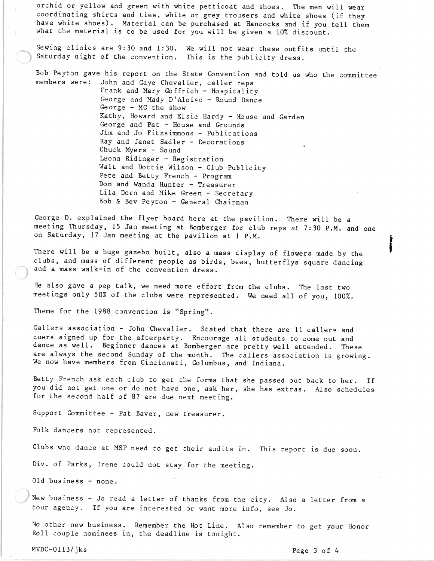orchid or yellow and green with white petticoat and shoes. The men will wear coordinating shirts and ties, white or grey trousers and white shoes (if they have white shoes). Material can be purchased at Hancocks and if you tell them. what the material is to be used for you will be given a 10% discount.

Sewing clinics are 9:30 and 1:30. We will not wear these outfits until the Saturday night of the convention. This is the publicity dress.

Bob Peyton gave his report on the State Convention and told us who the committee members were: John and Gaye Chevalier, caller reps

> Frank and Mary Goffrich - Hospitality George and Mady D'Aloiso - Round Dance George - MC the show Kathy, Howard and Elsie Hardy - House and Garden George and Pat - House and Grounds Jim and Jo Fitzsimmons - Publications Ray and Janet Sadler - Decorations Chuck Myers - Sound Leona Ridinger - Registration Walt and Dottie Wilson - Club Publicity Pete and Betty French - Program Don and Wanda Hunter - Treasurer Lila Dorn and Mike Green - Secretary Bob & Bev Peyton - General Chairman

George D. explained the flyer board here at the pavilion. There will be a meeting Thursday, 15 Jan meeting at Bomberger for club reps at 7:30 P.M. and one on Saturday, 17 Jan meeting at the pavilion at 1 P.M.

There will be a huge gazebo built, also a mass display of flowers made by the clubs, and mass of different people as birds, bees, butterflys square dancing and a mass walk-in of the convention dress.

He also gave a pep talk, we need more effort from the clubs. The last two meetings only 50% of the clubs were represented. We need all of you, 100%.

Theme for the 1988 convention is "Spring".

Callers association - John Chevalier. Stated that there are 11 callers and cuers signed up for the afterparty. Encourage all students to come out and dance as well. Beginner dances at Bomberger are pretty well attended. These are always the second Sunday of the month. The callers association is growing. We now have members from Cincinnati, Columbus, and Indiana.

Betty French ask each club to get the forms that she passed out back to her. If you did not get one or do not have one, ask her, she has extras. Also schedules for the second half of 87 are due next meeting.

Support Committee - Pat Baver, new treasurer.

Folk dancers not represented.

Clubs who dance at MSP need to get their audits in. This report is due soon.

Div. of Parks, Irene could not stay for the meeting.

Old business - none.

New business - Jo read a letter of thanks from the city. Also a letter from a tour agency. If you are interested or want more info, see Jo.

No other new business. Remember the Hot Line. Also remember to get your Honor Roll couple nominees in, the deadline is tonight.

MVDC-0113/jks Page 3 of 4

fan de groepen.<br>Gebouwen